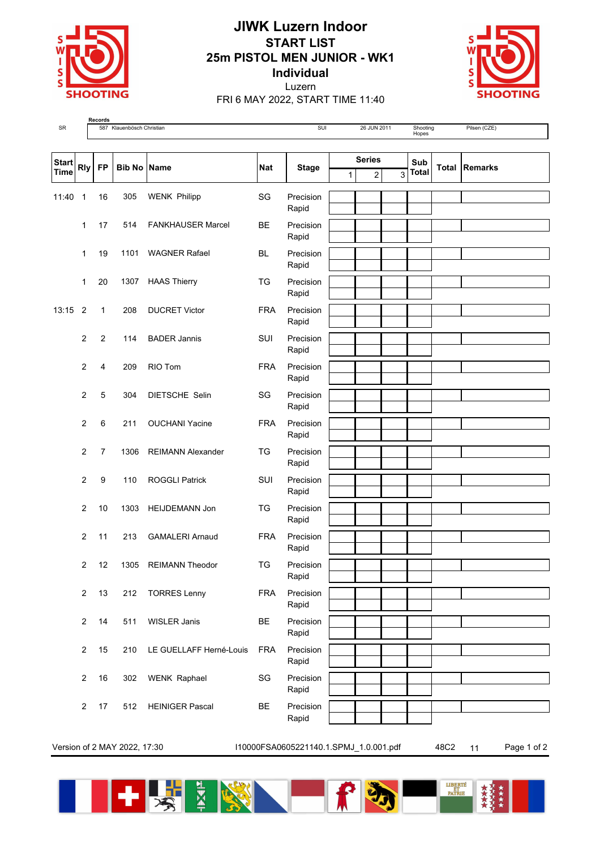

## **JIWK Luzern Indoor START LIST 25m PISTOL MEN JUNIOR - WK1 Individual** Luzern



FRI 6 MAY 2022, START TIME 11:40

**Records**

| SR           |                         |                | 587 Klauenbösch Christian |                          |            | SUI                |               | 26 JUN 2011 |     | Shooting<br>Hopes | Pilsen (CZE)         |
|--------------|-------------------------|----------------|---------------------------|--------------------------|------------|--------------------|---------------|-------------|-----|-------------------|----------------------|
| <b>Start</b> |                         |                |                           | <b>Bib No Name</b>       | <b>Nat</b> |                    | <b>Series</b> |             | Sub |                   |                      |
| <b>Time</b>  | Rly                     | <b>FP</b>      |                           |                          |            | <b>Stage</b>       | $\mathbf{1}$  | 2           | 3   | <b>Total</b>      | <b>Total Remarks</b> |
| 11:40        | $\mathbf{1}$            | 16             | 305                       | <b>WENK Philipp</b>      | SG         | Precision<br>Rapid |               |             |     |                   |                      |
|              | 1                       | 17             | 514                       | <b>FANKHAUSER Marcel</b> | <b>BE</b>  | Precision<br>Rapid |               |             |     |                   |                      |
|              | 1                       | 19             | 1101                      | <b>WAGNER Rafael</b>     | <b>BL</b>  | Precision<br>Rapid |               |             |     |                   |                      |
|              | 1                       | 20             | 1307                      | <b>HAAS Thierry</b>      | TG         | Precision<br>Rapid |               |             |     |                   |                      |
| 13:15        | $\overline{2}$          | 1              | 208                       | <b>DUCRET Victor</b>     | <b>FRA</b> | Precision<br>Rapid |               |             |     |                   |                      |
|              | 2                       | $\overline{2}$ | 114                       | <b>BADER Jannis</b>      | SUI        | Precision<br>Rapid |               |             |     |                   |                      |
|              | 2                       | 4              | 209                       | RIO Tom                  | <b>FRA</b> | Precision<br>Rapid |               |             |     |                   |                      |
|              | 2                       | 5              | 304                       | DIETSCHE Selin           | SG         | Precision<br>Rapid |               |             |     |                   |                      |
|              | 2                       | 6              | 211                       | <b>OUCHANI Yacine</b>    | <b>FRA</b> | Precision<br>Rapid |               |             |     |                   |                      |
|              | 2                       | $\overline{7}$ | 1306                      | <b>REIMANN Alexander</b> | TG         | Precision<br>Rapid |               |             |     |                   |                      |
|              | 2                       | 9              | 110                       | <b>ROGGLI Patrick</b>    | SUI        | Precision<br>Rapid |               |             |     |                   |                      |
|              | $\overline{2}$          | 10             | 1303                      | HEIJDEMANN Jon           | TG         | Precision<br>Rapid |               |             |     |                   |                      |
|              | 2                       | 11             | 213                       | <b>GAMALERI Arnaud</b>   | <b>FRA</b> | Precision<br>Rapid |               |             |     |                   |                      |
|              | 2                       | 12             | 1305                      | <b>REIMANN Theodor</b>   | TG         | Precision<br>Rapid |               |             |     |                   |                      |
|              | $\overline{2}$          | 13             | 212                       | <b>TORRES Lenny</b>      | <b>FRA</b> | Precision<br>Rapid |               |             |     |                   |                      |
|              | $\overline{2}$          | 14             | 511                       | WISLER Janis             | <b>BE</b>  | Precision<br>Rapid |               |             |     |                   |                      |
|              | $\overline{2}$          | 15             | 210                       | LE GUELLAFF Herné-Louis  | <b>FRA</b> | Precision<br>Rapid |               |             |     |                   |                      |
|              | $\overline{\mathbf{c}}$ | $16\,$         | 302                       | <b>WENK Raphael</b>      | SG         | Precision<br>Rapid |               |             |     |                   |                      |
|              | $\overline{\mathbf{c}}$ | 17             | 512                       | <b>HEINIGER Pascal</b>   | <b>BE</b>  | Precision<br>Rapid |               |             |     |                   |                      |

Version of 2 MAY 2022, 17:30 I10000FSA0605221140.1.SPMJ\_1.0.001.pdf 48C2 11 Page 1 of 2